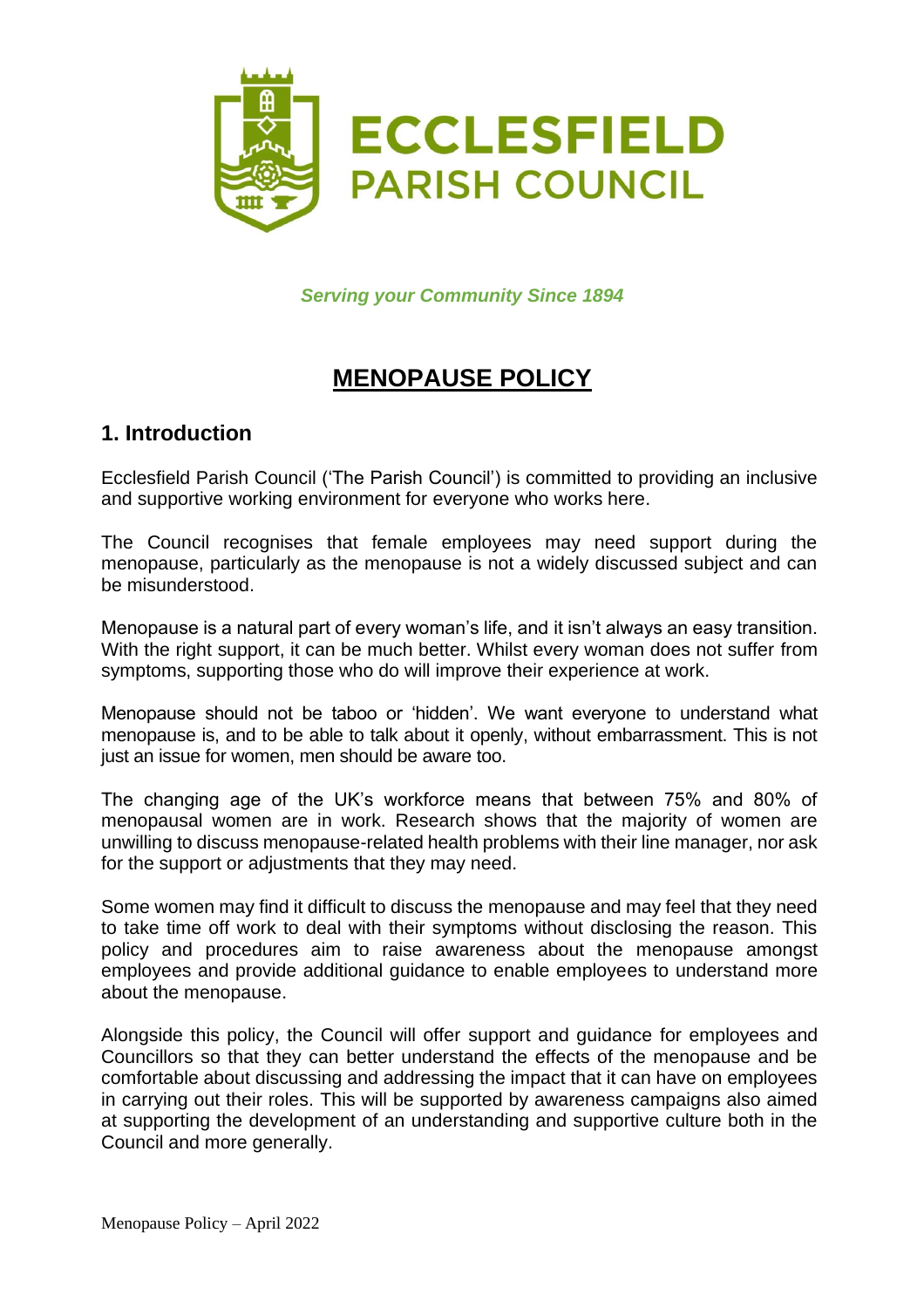

*Serving your Community Since 1894*

# **MENOPAUSE POLICY**

## **1. Introduction**

Ecclesfield Parish Council ('The Parish Council') is committed to providing an inclusive and supportive working environment for everyone who works here.

The Council recognises that female employees may need support during the menopause, particularly as the menopause is not a widely discussed subject and can be misunderstood.

Menopause is a natural part of every woman's life, and it isn't always an easy transition. With the right support, it can be much better. Whilst every woman does not suffer from symptoms, supporting those who do will improve their experience at work.

Menopause should not be taboo or 'hidden'. We want everyone to understand what menopause is, and to be able to talk about it openly, without embarrassment. This is not just an issue for women, men should be aware too.

The changing age of the UK's workforce means that between 75% and 80% of menopausal women are in work. Research shows that the majority of women are unwilling to discuss menopause-related health problems with their line manager, nor ask for the support or adjustments that they may need.

Some women may find it difficult to discuss the menopause and may feel that they need to take time off work to deal with their symptoms without disclosing the reason. This policy and procedures aim to raise awareness about the menopause amongst employees and provide additional guidance to enable employees to understand more about the menopause.

Alongside this policy, the Council will offer support and guidance for employees and Councillors so that they can better understand the effects of the menopause and be comfortable about discussing and addressing the impact that it can have on employees in carrying out their roles. This will be supported by awareness campaigns also aimed at supporting the development of an understanding and supportive culture both in the Council and more generally.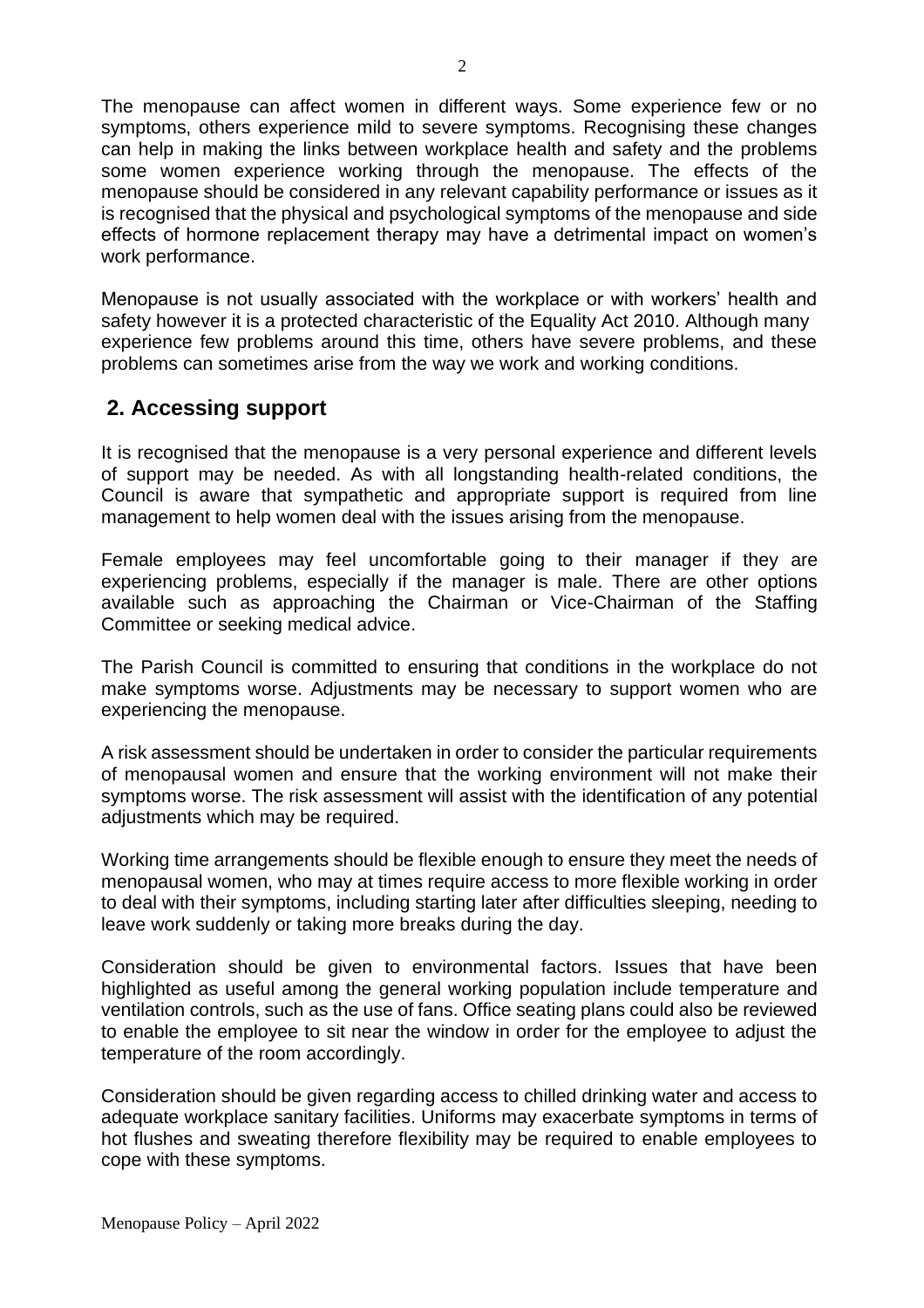The menopause can affect women in different ways. Some experience few or no symptoms, others experience mild to severe symptoms. Recognising these changes can help in making the links between workplace health and safety and the problems some women experience working through the menopause. The effects of the menopause should be considered in any relevant capability performance or issues as it is recognised that the physical and psychological symptoms of the menopause and side effects of hormone replacement therapy may have a detrimental impact on women's work performance.

Menopause is not usually associated with the workplace or with workers' health and safety however it is a protected characteristic of the Equality Act 2010. Although many experience few problems around this time, others have severe problems, and these problems can sometimes arise from the way we work and working conditions.

# **2. Accessing support**

It is recognised that the menopause is a very personal experience and different levels of support may be needed. As with all longstanding health-related conditions, the Council is aware that sympathetic and appropriate support is required from line management to help women deal with the issues arising from the menopause.

Female employees may feel uncomfortable going to their manager if they are experiencing problems, especially if the manager is male. There are other options available such as approaching the Chairman or Vice-Chairman of the Staffing Committee or seeking medical advice.

The Parish Council is committed to ensuring that conditions in the workplace do not make symptoms worse. Adjustments may be necessary to support women who are experiencing the menopause.

A risk assessment should be undertaken in order to consider the particular requirements of menopausal women and ensure that the working environment will not make their symptoms worse. The risk assessment will assist with the identification of any potential adjustments which may be required.

Working time arrangements should be flexible enough to ensure they meet the needs of menopausal women, who may at times require access to more flexible working in order to deal with their symptoms, including starting later after difficulties sleeping, needing to leave work suddenly or taking more breaks during the day.

Consideration should be given to environmental factors. Issues that have been highlighted as useful among the general working population include temperature and ventilation controls, such as the use of fans. Office seating plans could also be reviewed to enable the employee to sit near the window in order for the employee to adjust the temperature of the room accordingly.

Consideration should be given regarding access to chilled drinking water and access to adequate workplace sanitary facilities. Uniforms may exacerbate symptoms in terms of hot flushes and sweating therefore flexibility may be required to enable employees to cope with these symptoms.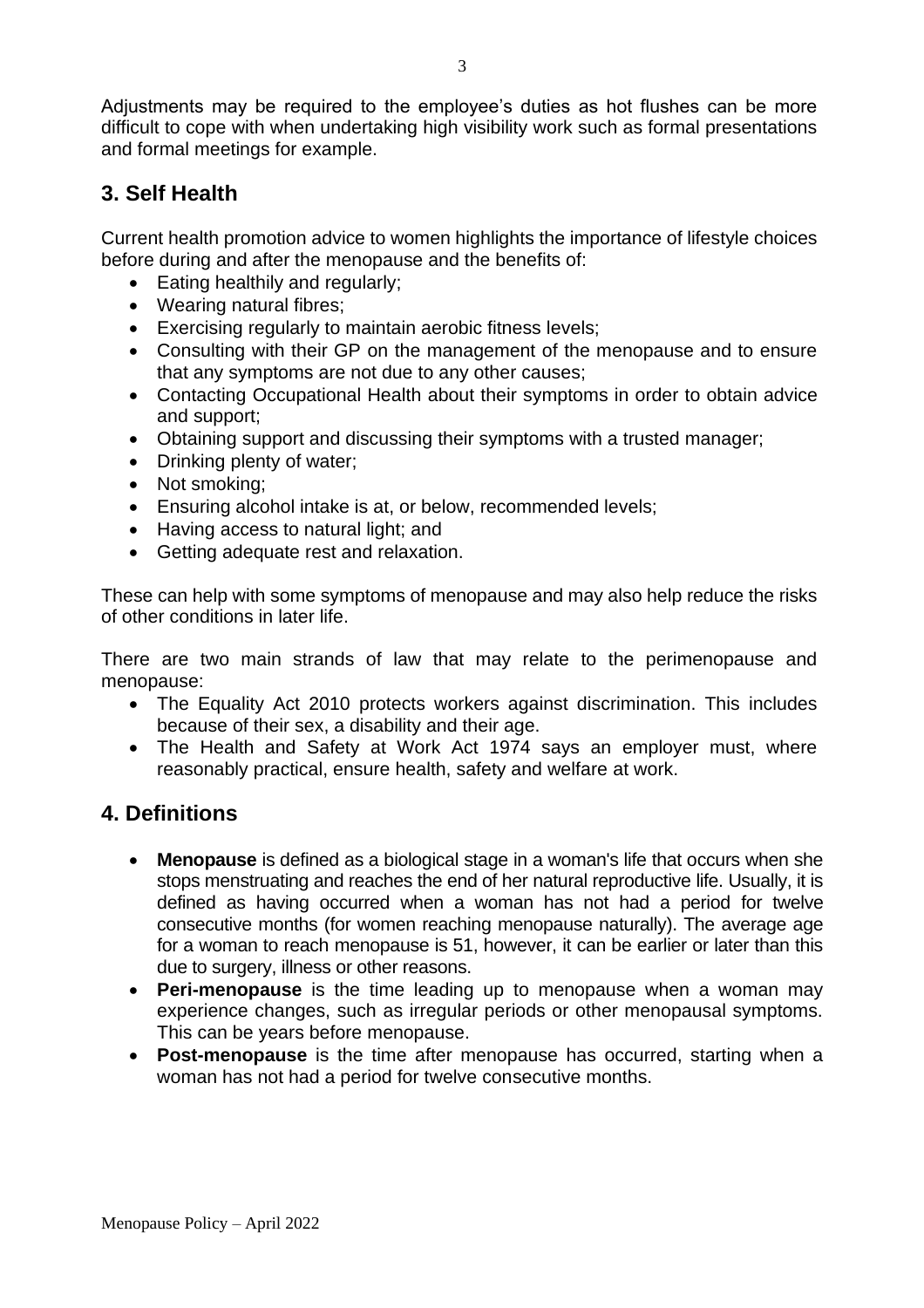Adjustments may be required to the employee's duties as hot flushes can be more difficult to cope with when undertaking high visibility work such as formal presentations and formal meetings for example.

# **3. Self Health**

Current health promotion advice to women highlights the importance of lifestyle choices before during and after the menopause and the benefits of:

- Eating healthily and regularly;
- Wearing natural fibres;
- Exercising regularly to maintain aerobic fitness levels;
- Consulting with their GP on the management of the menopause and to ensure that any symptoms are not due to any other causes;
- Contacting Occupational Health about their symptoms in order to obtain advice and support;
- Obtaining support and discussing their symptoms with a trusted manager;
- Drinking plenty of water;
- Not smoking;
- Ensuring alcohol intake is at, or below, recommended levels;
- Having access to natural light; and
- Getting adequate rest and relaxation.

These can help with some symptoms of menopause and may also help reduce the risks of other conditions in later life.

There are two main strands of law that may relate to the perimenopause and menopause:

- The Equality Act 2010 protects workers against discrimination. This includes because of their sex, a disability and their age.
- The Health and Safety at Work Act 1974 says an employer must, where reasonably practical, ensure health, safety and welfare at work.

# **4. Definitions**

- **Menopause** is defined as a biological stage in a woman's life that occurs when she stops menstruating and reaches the end of her natural reproductive life. Usually, it is defined as having occurred when a woman has not had a period for twelve consecutive months (for women reaching menopause naturally). The average age for a woman to reach menopause is 51, however, it can be earlier or later than this due to surgery, illness or other reasons.
- **Peri-menopause** is the time leading up to menopause when a woman may experience changes, such as irregular periods or other menopausal symptoms. This can be years before menopause.
- **Post-menopause** is the time after menopause has occurred, starting when a woman has not had a period for twelve consecutive months.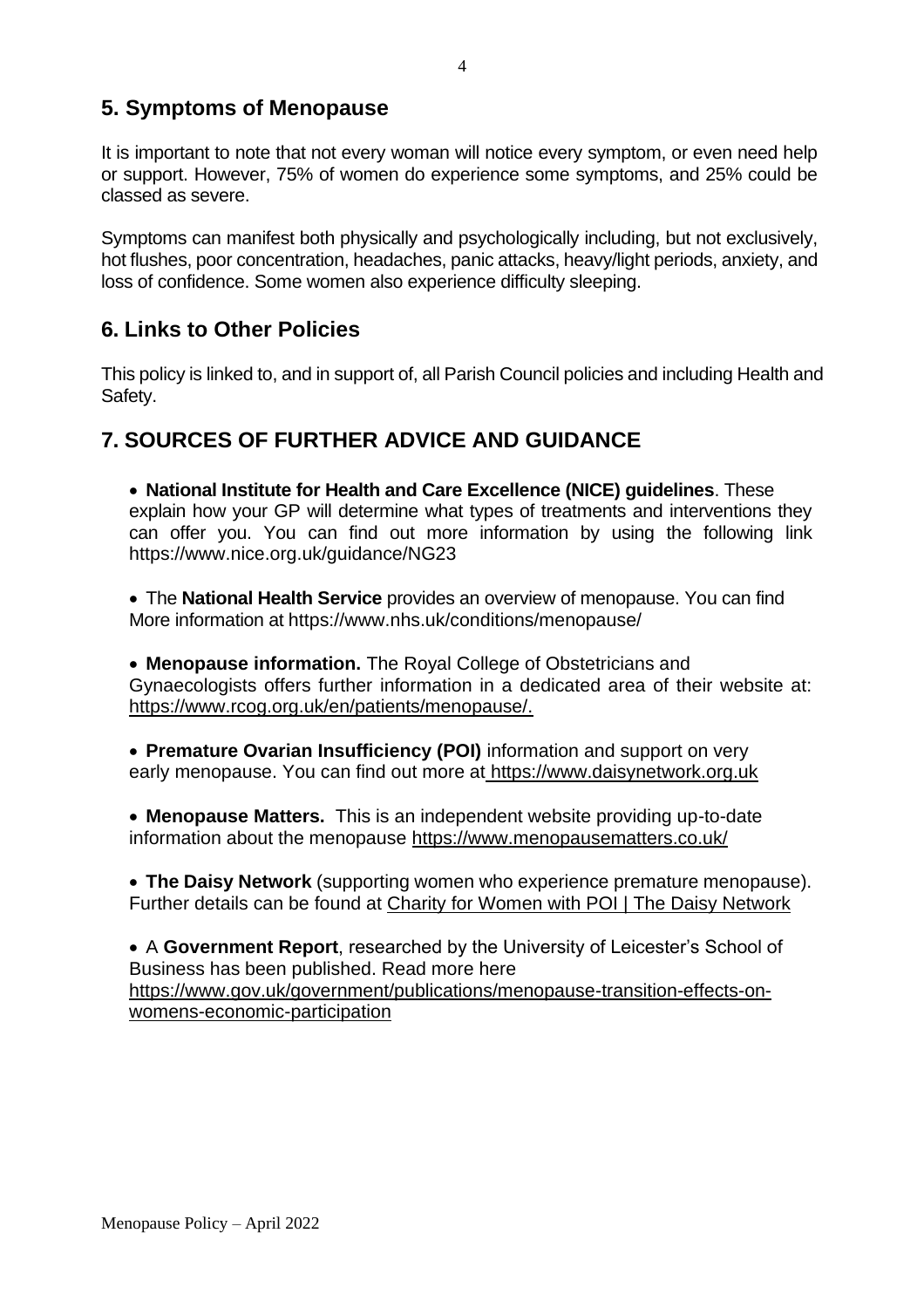# **5. Symptoms of Menopause**

It is important to note that not every woman will notice every symptom, or even need help or support. However, 75% of women do experience some symptoms, and 25% could be classed as severe.

Symptoms can manifest both physically and psychologically including, but not exclusively, hot flushes, poor concentration, headaches, panic attacks, heavy/light periods, anxiety, and loss of confidence. Some women also experience difficulty sleeping.

# **6. Links to Other Policies**

This policy is linked to, and in support of, all Parish Council policies and including Health and Safety.

# **7. SOURCES OF FURTHER ADVICE AND GUIDANCE**

• **National Institute for Health and Care Excellence (NICE) guidelines**. These explain how your GP will determine what types of treatments and interventions they can offer you. You can find out more information by using the following link https://www.nice.org.uk/guidance/NG23

• The **National Health Service** provides an overview of menopause. You can find More information at https://www.nhs.uk/conditions/menopause/

• **Menopause information.** The Royal College of Obstetricians and Gynaecologists offers further information in a dedicated area of their website at: [https://www.rcog.org.uk/en/patients/menopause/.](https://www.rcog.org.uk/en/patients/menopause/)

• **Premature Ovarian Insufficiency (POI)** information and support on very early menopause. You can find out more at [https://www.daisynetwork.org.uk](https://www.daisynetwork.org.uk/)

• **Menopause Matters.** This is an independent website providing up-to-date information about the menopause <https://www.menopausematters.co.uk/>

• **The Daisy Network** (supporting women who experience premature menopause). Further details can be found at [Charity for Women with POI | The Daisy Network](https://www.daisynetwork.org/)

• A **Government Report**, researched by the University of Leicester's School of Business has been published. Read more here https://www.gov.uk/government/publications/menopause-transition-effects-onwomens-economic-participation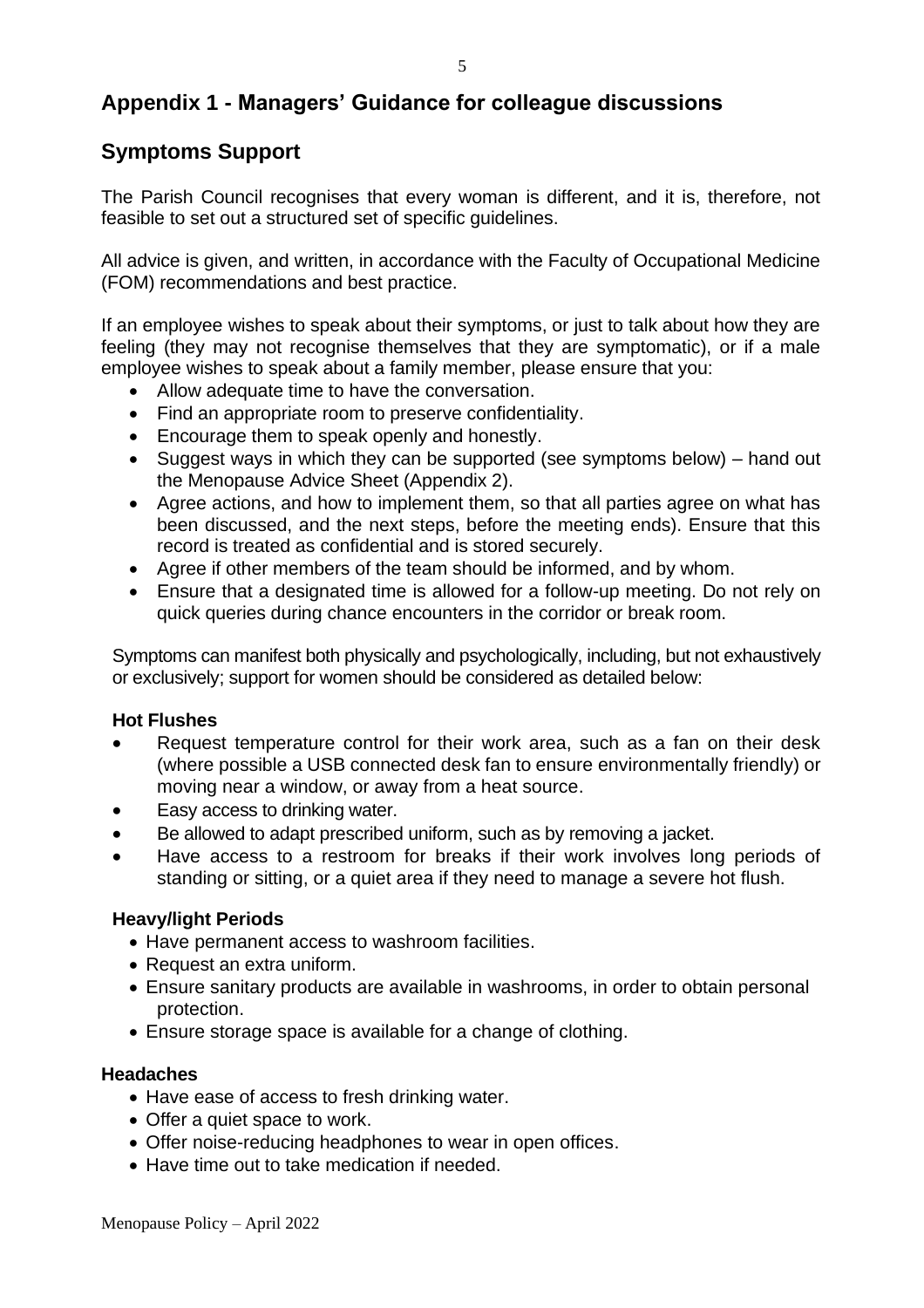# **Appendix 1 - Managers' Guidance for colleague discussions**

# **Symptoms Support**

The Parish Council recognises that every woman is different, and it is, therefore, not feasible to set out a structured set of specific guidelines.

All advice is given, and written, in accordance with the Faculty of Occupational Medicine (FOM) recommendations and best practice.

If an employee wishes to speak about their symptoms, or just to talk about how they are feeling (they may not recognise themselves that they are symptomatic), or if a male employee wishes to speak about a family member, please ensure that you:

- Allow adequate time to have the conversation.
- Find an appropriate room to preserve confidentiality.
- Encourage them to speak openly and honestly.
- Suggest ways in which they can be supported (see symptoms below) hand out the Menopause Advice Sheet (Appendix 2).
- Agree actions, and how to implement them, so that all parties agree on what has been discussed, and the next steps, before the meeting ends). Ensure that this record is treated as confidential and is stored securely.
- Agree if other members of the team should be informed, and by whom.
- Ensure that a designated time is allowed for a follow-up meeting. Do not rely on quick queries during chance encounters in the corridor or break room.

Symptoms can manifest both physically and psychologically, including, but not exhaustively or exclusively; support for women should be considered as detailed below:

### **Hot Flushes**

- Request temperature control for their work area, such as a fan on their desk (where possible a USB connected desk fan to ensure environmentally friendly) or moving near a window, or away from a heat source.
- Easy access to drinking water.
- Be allowed to adapt prescribed uniform, such as by removing a jacket.
- Have access to a restroom for breaks if their work involves long periods of standing or sitting, or a quiet area if they need to manage a severe hot flush.

### **Heavy/light Periods**

- Have permanent access to washroom facilities.
- Request an extra uniform.
- Ensure sanitary products are available in washrooms, in order to obtain personal protection.
- Ensure storage space is available for a change of clothing.

#### **Headaches**

- Have ease of access to fresh drinking water.
- Offer a quiet space to work.
- Offer noise-reducing headphones to wear in open offices.
- Have time out to take medication if needed.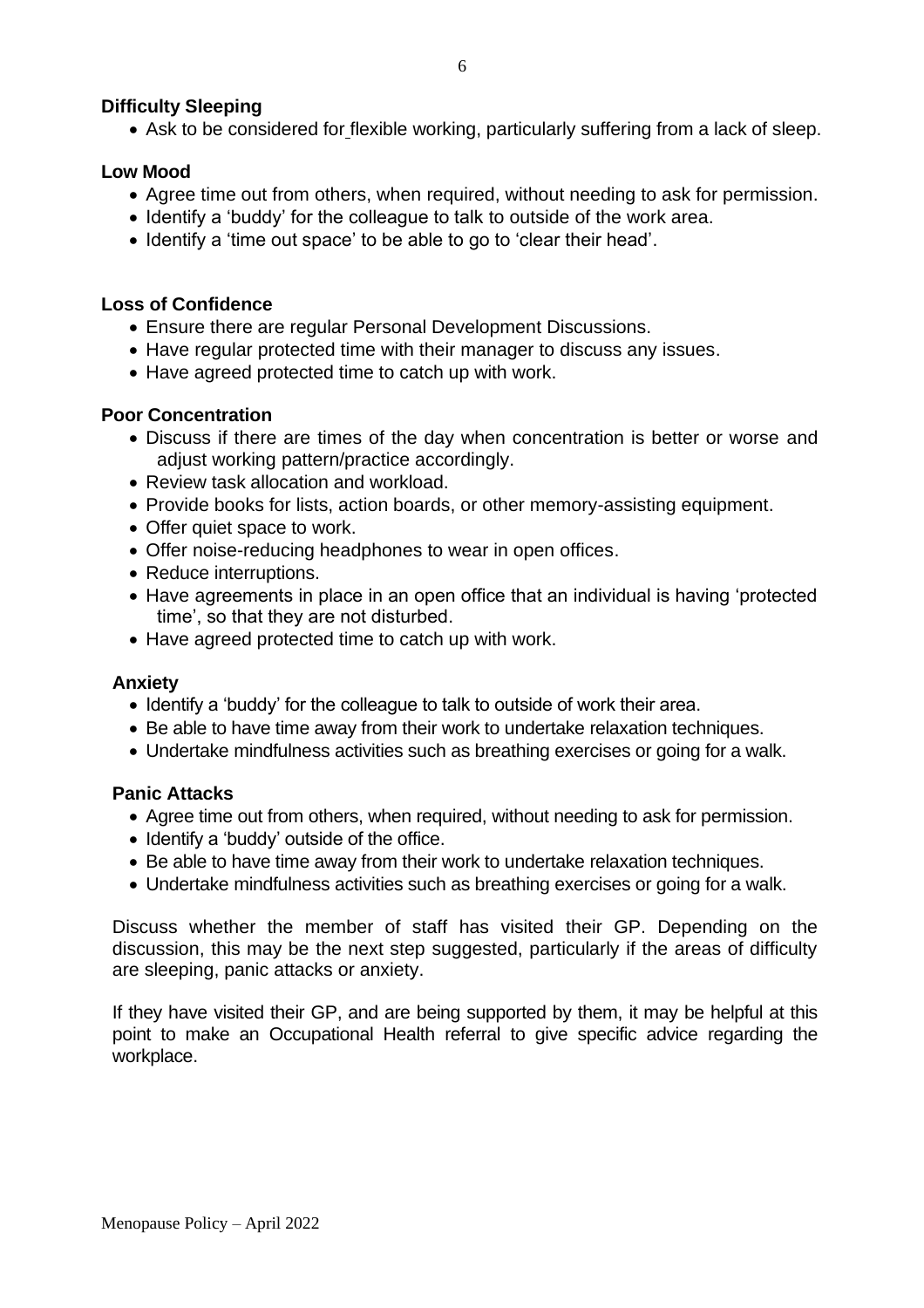### **Difficulty Sleeping**

• Ask to be considered for flexible working, particularly suffering from a lack of sleep.

### **Low Mood**

- Agree time out from others, when required, without needing to ask for permission.
- Identify a 'buddy' for the colleague to talk to outside of the work area.
- Identify a 'time out space' to be able to go to 'clear their head'.

### **Loss of Confidence**

- Ensure there are regular Personal Development Discussions.
- Have regular protected time with their manager to discuss any issues.
- Have agreed protected time to catch up with work.

### **Poor Concentration**

- Discuss if there are times of the day when concentration is better or worse and adjust working pattern/practice accordingly.
- Review task allocation and workload.
- Provide books for lists, action boards, or other memory-assisting equipment.
- Offer quiet space to work.
- Offer noise-reducing headphones to wear in open offices.
- Reduce interruptions.
- Have agreements in place in an open office that an individual is having 'protected time', so that they are not disturbed.
- Have agreed protected time to catch up with work.

### **Anxiety**

- Identify a 'buddy' for the colleague to talk to outside of work their area.
- Be able to have time away from their work to undertake relaxation techniques.
- Undertake mindfulness activities such as breathing exercises or going for a walk.

### **Panic Attacks**

- Agree time out from others, when required, without needing to ask for permission.
- Identify a 'buddy' outside of the office.
- Be able to have time away from their work to undertake relaxation techniques.
- Undertake mindfulness activities such as breathing exercises or going for a walk.

Discuss whether the member of staff has visited their GP. Depending on the discussion, this may be the next step suggested, particularly if the areas of difficulty are sleeping, panic attacks or anxiety.

If they have visited their GP, and are being supported by them, it may be helpful at this point to make an Occupational Health referral to give specific advice regarding the workplace.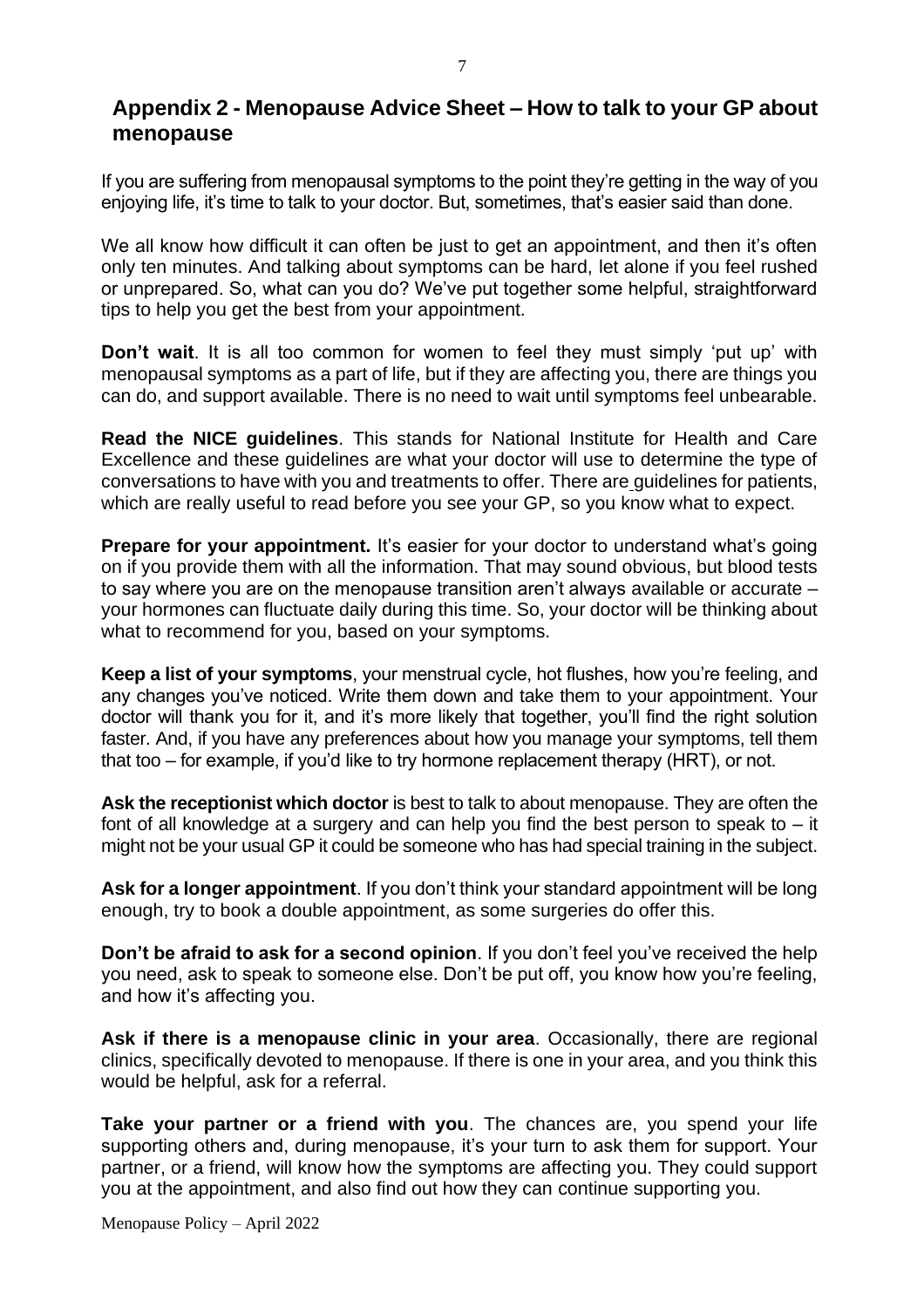## **Appendix 2 - Menopause Advice Sheet – How to talk to your GP about menopause**

If you are suffering from menopausal symptoms to the point they're getting in the way of you enjoying life, it's time to talk to your doctor. But, sometimes, that's easier said than done.

We all know how difficult it can often be just to get an appointment, and then it's often only ten minutes. And talking about symptoms can be hard, let alone if you feel rushed or unprepared. So, what can you do? We've put together some helpful, straightforward tips to help you get the best from your appointment.

**Don't wait**. It is all too common for women to feel they must simply 'put up' with menopausal symptoms as a part of life, but if they are affecting you, there are things you can do, and support available. There is no need to wait until symptoms feel unbearable.

**Read the NICE guidelines**. This stands for National Institute for Health and Care Excellence and these guidelines are what your doctor will use to determine the type of conversations to have with you and treatments to offer. There are guidelines for patients, which are really useful to read before you see your GP, so you know what to expect.

**Prepare for your appointment.** It's easier for your doctor to understand what's going on if you provide them with all the information. That may sound obvious, but blood tests to say where you are on the menopause transition aren't always available or accurate – your hormones can fluctuate daily during this time. So, your doctor will be thinking about what to recommend for you, based on your symptoms.

**Keep a list of your symptoms**, your menstrual cycle, hot flushes, how you're feeling, and any changes you've noticed. Write them down and take them to your appointment. Your doctor will thank you for it, and it's more likely that together, you'll find the right solution faster. And, if you have any preferences about how you manage your symptoms, tell them that too – for example, if you'd like to try hormone replacement therapy (HRT), or not.

**Ask the receptionist which doctor** is best to talk to about menopause. They are often the font of all knowledge at a surgery and can help you find the best person to speak to  $-$  it might not be your usual GP it could be someone who has had special training in the subject.

**Ask for a longer appointment**. If you don't think your standard appointment will be long enough, try to book a double appointment, as some surgeries do offer this.

**Don't be afraid to ask for a second opinion**. If you don't feel you've received the help you need, ask to speak to someone else. Don't be put off, you know how you're feeling, and how it's affecting you.

**Ask if there is a menopause clinic in your area**. Occasionally, there are regional clinics, specifically devoted to menopause. If there is one in your area, and you think this would be helpful, ask for a referral.

**Take your partner or a friend with you**. The chances are, you spend your life supporting others and, during menopause, it's your turn to ask them for support. Your partner, or a friend, will know how the symptoms are affecting you. They could support you at the appointment, and also find out how they can continue supporting you.

Menopause Policy – April 2022